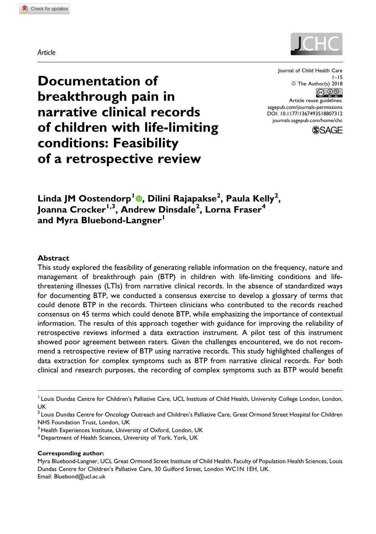Article



Journal of Child Health Care 1–15 © The Author(s) 2018  $\odot$   $\odot$ Article reuse guidelines: [sagepub.com/journals-permissions](https://sagepub.com/journals-permissions) [DOI: 10.1177/1367493518807312](https://doi.org/10.1177/1367493518807312) [journals.sagepub.com/home/chc](http://journals.sagepub.com/home/chc)



Documentation of breakthrough pain in narrative clinical records of children with life-limiting conditions: Feasibility of a retrospective review

Linda JM Oostendorp<sup>1</sup>®, Dilini Rajapakse<sup>2</sup>, Paula Kelly<sup>2</sup>, Joanna Crocker<sup>1,3</sup>, Andrew Dinsdale<sup>2</sup>, Lorna Fraser<sup>4</sup> and Myra Bluebond-Langner<sup>1</sup>

#### Abstract

This study explored the feasibility of generating reliable information on the frequency, nature and management of breakthrough pain (BTP) in children with life-limiting conditions and lifethreatening illnesses (LTIs) from narrative clinical records. In the absence of standardized ways for documenting BTP, we conducted a consensus exercise to develop a glossary of terms that could denote BTP in the records. Thirteen clinicians who contributed to the records reached consensus on 45 terms which could denote BTP, while emphasizing the importance of contextual information. The results of this approach together with guidance for improving the reliability of retrospective reviews informed a data extraction instrument. A pilot test of this instrument showed poor agreement between raters. Given the challenges encountered, we do not recommend a retrospective review of BTP using narrative records. This study highlighted challenges of data extraction for complex symptoms such as BTP from narrative clinical records. For both clinical and research purposes, the recording of complex symptoms such as BTP would benefit

Corresponding author:

<sup>&</sup>lt;sup>1</sup> Louis Dundas Centre for Children's Palliative Care, UCL Institute of Child Health, University College London, London, UK

 $2$  Louis Dundas Centre for Oncology Outreach and Children's Palliative Care, Great Ormond Street Hospital for Children NHS Foundation Trust, London, UK

<sup>&</sup>lt;sup>3</sup> Health Experiences Institute, University of Oxford, London, UK

<sup>&</sup>lt;sup>4</sup> Department of Health Sciences, University of York, York, UK

Myra Bluebond-Langner, UCL Great Ormond Street Institute of Child Health, Faculty of Population Health Sciences, Louis Dundas Centre for Children's Palliative Care, 30 Guilford Street, London WC1N 1EH, UK. Email: [Bluebond@ucl.ac.uk](mailto:Bluebond@ucl.ac.uk)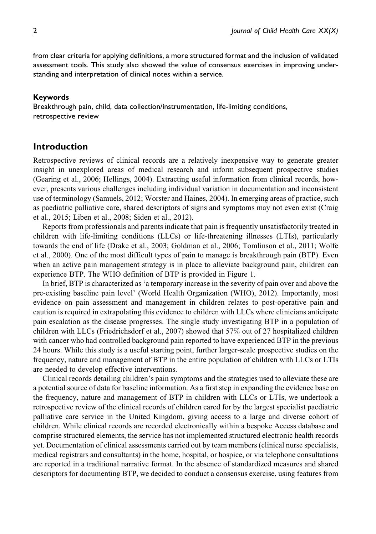from clear criteria for applying definitions, a more structured format and the inclusion of validated assessment tools. This study also showed the value of consensus exercises in improving understanding and interpretation of clinical notes within a service.

#### Keywords

Breakthrough pain, child, data collection/instrumentation, life-limiting conditions, retrospective review

## Introduction

Retrospective reviews of clinical records are a relatively inexpensive way to generate greater insight in unexplored areas of medical research and inform subsequent prospective studies (Gearing et al., 2006; Hellings, 2004). Extracting useful information from clinical records, however, presents various challenges including individual variation in documentation and inconsistent use of terminology (Samuels, 2012; Worster and Haines, 2004). In emerging areas of practice, such as paediatric palliative care, shared descriptors of signs and symptoms may not even exist (Craig et al., 2015; Liben et al., 2008; Siden et al., 2012).

Reports from professionals and parents indicate that pain is frequently unsatisfactorily treated in children with life-limiting conditions (LLCs) or life-threatening illnesses (LTIs), particularly towards the end of life (Drake et al., 2003; Goldman et al., 2006; Tomlinson et al., 2011; Wolfe et al., 2000). One of the most difficult types of pain to manage is breakthrough pain (BTP). Even when an active pain management strategy is in place to alleviate background pain, children can experience BTP. The WHO definition of BTP is provided in Figure 1.

In brief, BTP is characterized as 'a temporary increase in the severity of pain over and above the pre-existing baseline pain level' (World Health Organization (WHO), 2012). Importantly, most evidence on pain assessment and management in children relates to post-operative pain and caution is required in extrapolating this evidence to children with LLCs where clinicians anticipate pain escalation as the disease progresses. The single study investigating BTP in a population of children with LLCs (Friedrichsdorf et al., 2007) showed that 57% out of 27 hospitalized children with cancer who had controlled background pain reported to have experienced BTP in the previous 24 hours. While this study is a useful starting point, further larger-scale prospective studies on the frequency, nature and management of BTP in the entire population of children with LLCs or LTIs are needed to develop effective interventions.

Clinical records detailing children's pain symptoms and the strategies used to alleviate these are a potential source of data for baseline information. As a first step in expanding the evidence base on the frequency, nature and management of BTP in children with LLCs or LTIs, we undertook a retrospective review of the clinical records of children cared for by the largest specialist paediatric palliative care service in the United Kingdom, giving access to a large and diverse cohort of children. While clinical records are recorded electronically within a bespoke Access database and comprise structured elements, the service has not implemented structured electronic health records yet. Documentation of clinical assessments carried out by team members (clinical nurse specialists, medical registrars and consultants) in the home, hospital, or hospice, or via telephone consultations are reported in a traditional narrative format. In the absence of standardized measures and shared descriptors for documenting BTP, we decided to conduct a consensus exercise, using features from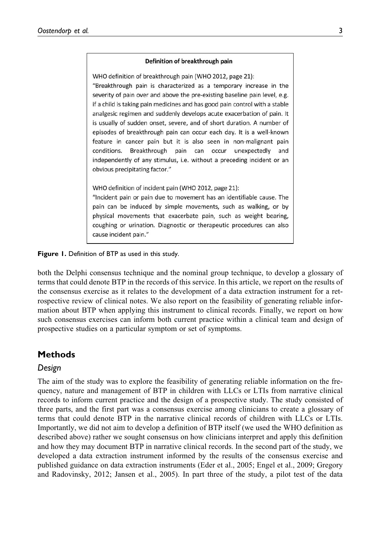#### Definition of breakthrough pain

WHO definition of breakthrough pain (WHO 2012, page 21): "Breakthrough pain is characterized as a temporary increase in the severity of pain over and above the pre-existing baseline pain level, e.g. if a child is taking pain medicines and has good pain control with a stable analgesic regimen and suddenly develops acute exacerbation of pain. It is usually of sudden onset, severe, and of short duration. A number of episodes of breakthrough pain can occur each day. It is a well-known feature in cancer pain but it is also seen in non-malignant pain conditions. Breakthrough pain can occur unexpectedly and independently of any stimulus, i.e. without a preceding incident or an obvious precipitating factor."

WHO definition of incident pain (WHO 2012, page 21):

"Incident pain or pain due to movement has an identifiable cause. The pain can be induced by simple movements, such as walking, or by physical movements that exacerbate pain, such as weight bearing, coughing or urination. Diagnostic or therapeutic procedures can also cause incident pain."

Figure 1. Definition of BTP as used in this study.

both the Delphi consensus technique and the nominal group technique, to develop a glossary of terms that could denote BTP in the records of this service. In this article, we report on the results of the consensus exercise as it relates to the development of a data extraction instrument for a retrospective review of clinical notes. We also report on the feasibility of generating reliable information about BTP when applying this instrument to clinical records. Finally, we report on how such consensus exercises can inform both current practice within a clinical team and design of prospective studies on a particular symptom or set of symptoms.

## Methods

### Design

The aim of the study was to explore the feasibility of generating reliable information on the frequency, nature and management of BTP in children with LLCs or LTIs from narrative clinical records to inform current practice and the design of a prospective study. The study consisted of three parts, and the first part was a consensus exercise among clinicians to create a glossary of terms that could denote BTP in the narrative clinical records of children with LLCs or LTIs. Importantly, we did not aim to develop a definition of BTP itself (we used the WHO definition as described above) rather we sought consensus on how clinicians interpret and apply this definition and how they may document BTP in narrative clinical records. In the second part of the study, we developed a data extraction instrument informed by the results of the consensus exercise and published guidance on data extraction instruments (Eder et al., 2005; Engel et al., 2009; Gregory and Radovinsky, 2012; Jansen et al., 2005). In part three of the study, a pilot test of the data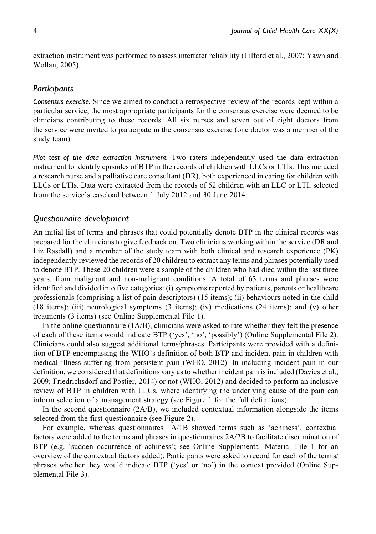extraction instrument was performed to assess interrater reliability (Lilford et al., 2007; Yawn and Wollan, 2005).

### **Participants**

Consensus exercise. Since we aimed to conduct a retrospective review of the records kept within a particular service, the most appropriate participants for the consensus exercise were deemed to be clinicians contributing to these records. All six nurses and seven out of eight doctors from the service were invited to participate in the consensus exercise (one doctor was a member of the study team).

Pilot test of the data extraction instrument. Two raters independently used the data extraction instrument to identify episodes of BTP in the records of children with LLCs or LTIs. This included a research nurse and a palliative care consultant (DR), both experienced in caring for children with LLCs or LTIs. Data were extracted from the records of 52 children with an LLC or LTI, selected from the service's caseload between 1 July 2012 and 30 June 2014.

#### Questionnaire development

An initial list of terms and phrases that could potentially denote BTP in the clinical records was prepared for the clinicians to give feedback on. Two clinicians working within the service (DR and Liz Rasdall) and a member of the study team with both clinical and research experience (PK) independently reviewed the records of 20 children to extract any terms and phrases potentially used to denote BTP. These 20 children were a sample of the children who had died within the last three years, from malignant and non-malignant conditions. A total of 63 terms and phrases were identified and divided into five categories: (i) symptoms reported by patients, parents or healthcare professionals (comprising a list of pain descriptors) (15 items); (ii) behaviours noted in the child (18 items); (iii) neurological symptoms (3 items); (iv) medications (24 items); and (v) other treatments (3 items) (see Online Supplemental File 1).

In the online questionnaire  $(1A/B)$ , clinicians were asked to rate whether they felt the presence of each of these items would indicate BTP ('yes', 'no', 'possibly') (Online Supplemental File 2). Clinicians could also suggest additional terms/phrases. Participants were provided with a definition of BTP encompassing the WHO's definition of both BTP and incident pain in children with medical illness suffering from persistent pain (WHO, 2012). In including incident pain in our definition, we considered that definitions vary as to whether incident pain is included (Davies et al., 2009; Friedrichsdorf and Postier, 2014) or not (WHO, 2012) and decided to perform an inclusive review of BTP in children with LLCs, where identifying the underlying cause of the pain can inform selection of a management strategy (see Figure 1 for the full definitions).

In the second questionnaire  $(2A/B)$ , we included contextual information alongside the items selected from the first questionnaire (see Figure 2).

For example, whereas questionnaires 1A/1B showed terms such as 'achiness', contextual factors were added to the terms and phrases in questionnaires 2A/2B to facilitate discrimination of BTP (e.g. 'sudden occurrence of achiness'; see Online Supplemental Material File 1 for an overview of the contextual factors added). Participants were asked to record for each of the terms/ phrases whether they would indicate BTP ('yes' or 'no') in the context provided (Online Supplemental File 3).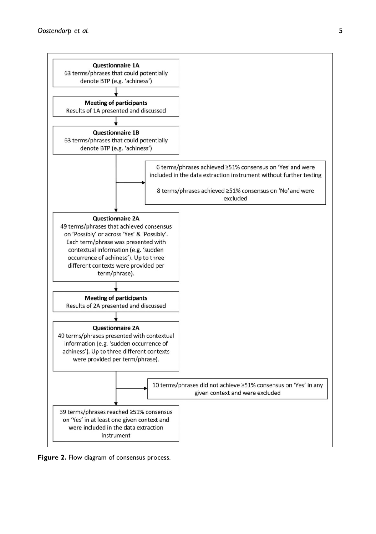

Figure 2. Flow diagram of consensus process.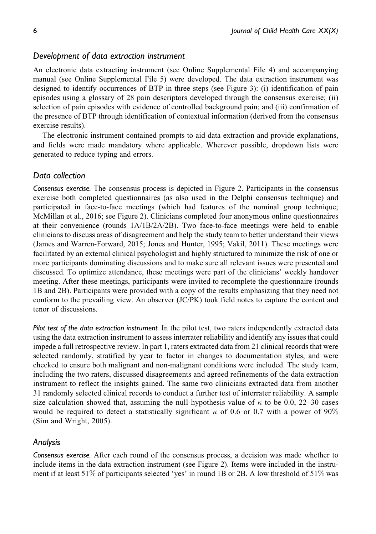# Development of data extraction instrument

An electronic data extracting instrument (see Online Supplemental File 4) and accompanying manual (see Online Supplemental File 5) were developed. The data extraction instrument was designed to identify occurrences of BTP in three steps (see Figure 3): (i) identification of pain episodes using a glossary of 28 pain descriptors developed through the consensus exercise; (ii) selection of pain episodes with evidence of controlled background pain; and (iii) confirmation of the presence of BTP through identification of contextual information (derived from the consensus exercise results).

The electronic instrument contained prompts to aid data extraction and provide explanations, and fields were made mandatory where applicable. Wherever possible, dropdown lists were generated to reduce typing and errors.

# Data collection

Consensus exercise. The consensus process is depicted in Figure 2. Participants in the consensus exercise both completed questionnaires (as also used in the Delphi consensus technique) and participated in face-to-face meetings (which had features of the nominal group technique; McMillan et al., 2016; see Figure 2). Clinicians completed four anonymous online questionnaires at their convenience (rounds 1A/1B/2A/2B). Two face-to-face meetings were held to enable clinicians to discuss areas of disagreement and help the study team to better understand their views (James and Warren-Forward, 2015; Jones and Hunter, 1995; Vakil, 2011). These meetings were facilitated by an external clinical psychologist and highly structured to minimize the risk of one or more participants dominating discussions and to make sure all relevant issues were presented and discussed. To optimize attendance, these meetings were part of the clinicians' weekly handover meeting. After these meetings, participants were invited to recomplete the questionnaire (rounds 1B and 2B). Participants were provided with a copy of the results emphasizing that they need not conform to the prevailing view. An observer (JC/PK) took field notes to capture the content and tenor of discussions.

Pilot test of the data extraction instrument. In the pilot test, two raters independently extracted data using the data extraction instrument to assess interrater reliability and identify any issues that could impede a full retrospective review. In part 1, raters extracted data from 21 clinical records that were selected randomly, stratified by year to factor in changes to documentation styles, and were checked to ensure both malignant and non-malignant conditions were included. The study team, including the two raters, discussed disagreements and agreed refinements of the data extraction instrument to reflect the insights gained. The same two clinicians extracted data from another 31 randomly selected clinical records to conduct a further test of interrater reliability. A sample size calculation showed that, assuming the null hypothesis value of  $\kappa$  to be 0.0, 22–30 cases would be required to detect a statistically significant  $\kappa$  of 0.6 or 0.7 with a power of 90% (Sim and Wright, 2005).

## Analysis

Consensus exercise. After each round of the consensus process, a decision was made whether to include items in the data extraction instrument (see Figure 2). Items were included in the instrument if at least 51% of participants selected 'yes' in round 1B or 2B. A low threshold of 51% was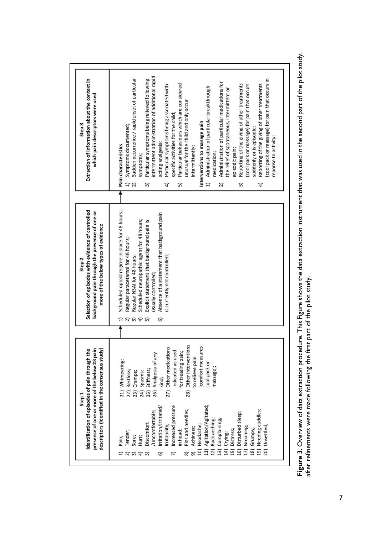

**Figure 3.** Overview of data extraction procedure. This Figure shows the data extraction instrument that was used in the second part of the pilot study, Figure 3. Overview of data extraction procedure. This Figure shows the data extraction instrument that was used in the second part of the pilot study, after refinements were made following the first part of the pilot study. after refinements were made following the first part of the pilot study.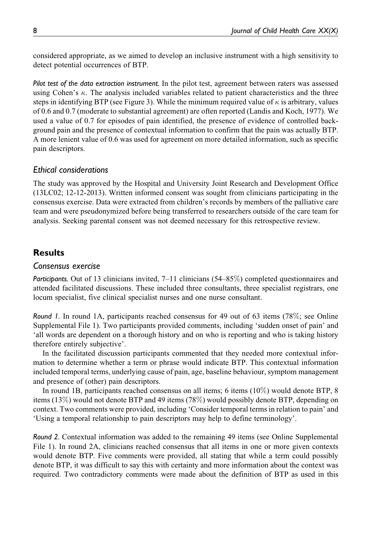considered appropriate, as we aimed to develop an inclusive instrument with a high sensitivity to detect potential occurrences of BTP.

Pilot test of the data extraction instrument. In the pilot test, agreement between raters was assessed using Cohen's  $\kappa$ . The analysis included variables related to patient characteristics and the three steps in identifying BTP (see Figure 3). While the minimum required value of  $\kappa$  is arbitrary, values of 0.6 and 0.7 (moderate to substantial agreement) are often reported (Landis and Koch, 1977). We used a value of 0.7 for episodes of pain identified, the presence of evidence of controlled background pain and the presence of contextual information to confirm that the pain was actually BTP. A more lenient value of 0.6 was used for agreement on more detailed information, such as specific pain descriptors.

### Ethical considerations

The study was approved by the Hospital and University Joint Research and Development Office (13LC02; 12-12-2013). Written informed consent was sought from clinicians participating in the consensus exercise. Data were extracted from children's records by members of the palliative care team and were pseudonymized before being transferred to researchers outside of the care team for analysis. Seeking parental consent was not deemed necessary for this retrospective review.

# Results

### Consensus exercise

Participants. Out of 13 clinicians invited, 7–11 clinicians (54–85%) completed questionnaires and attended facilitated discussions. These included three consultants, three specialist registrars, one locum specialist, five clinical specialist nurses and one nurse consultant.

Round 1. In round 1A, participants reached consensus for 49 out of 63 items (78%; see Online Supplemental File 1). Two participants provided comments, including 'sudden onset of pain' and 'all words are dependent on a thorough history and on who is reporting and who is taking history therefore entirely subjective'.

In the facilitated discussion participants commented that they needed more contextual information to determine whether a term or phrase would indicate BTP. This contextual information included temporal terms, underlying cause of pain, age, baseline behaviour, symptom management and presence of (other) pain descriptors.

In round 1B, participants reached consensus on all items; 6 items (10%) would denote BTP, 8 items (13%) would not denote BTP and 49 items (78%) would possibly denote BTP, depending on context. Two comments were provided, including 'Consider temporal terms in relation to pain' and 'Using a temporal relationship to pain descriptors may help to define terminology'.

Round 2. Contextual information was added to the remaining 49 items (see Online Supplemental File 1). In round 2A, clinicians reached consensus that all items in one or more given contexts would denote BTP. Five comments were provided, all stating that while a term could possibly denote BTP, it was difficult to say this with certainty and more information about the context was required. Two contradictory comments were made about the definition of BTP as used in this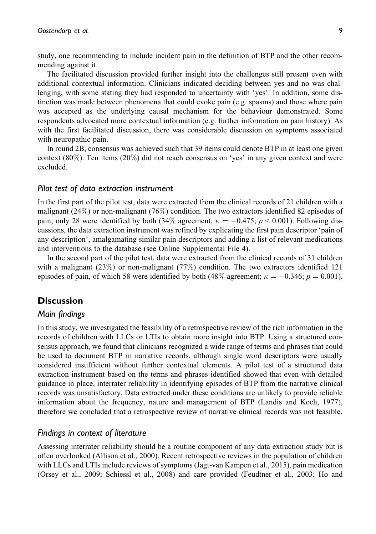study, one recommending to include incident pain in the definition of BTP and the other recommending against it.

The facilitated discussion provided further insight into the challenges still present even with additional contextual information. Clinicians indicated deciding between yes and no was challenging, with some stating they had responded to uncertainty with 'yes'. In addition, some distinction was made between phenomena that could evoke pain (e.g. spasms) and those where pain was accepted as the underlying causal mechanism for the behaviour demonstrated. Some respondents advocated more contextual information (e.g. further information on pain history). As with the first facilitated discussion, there was considerable discussion on symptoms associated with neuropathic pain.

In round 2B, consensus was achieved such that 39 items could denote BTP in at least one given context  $(80\%)$ . Ten items  $(20\%)$  did not reach consensus on 'yes' in any given context and were excluded.

### Pilot test of data extraction instrument

In the first part of the pilot test, data were extracted from the clinical records of 21 children with a malignant (24%) or non-malignant (76%) condition. The two extractors identified 82 episodes of pain; only 28 were identified by both (34% agreement;  $\kappa = -0.475$ ;  $p < 0.001$ ). Following discussions, the data extraction instrument was refined by explicating the first pain descriptor 'pain of any description', amalgamating similar pain descriptors and adding a list of relevant medications and interventions to the database (see Online Supplemental File 4).

In the second part of the pilot test, data were extracted from the clinical records of 31 children with a malignant  $(23\%)$  or non-malignant  $(77\%)$  condition. The two extractors identified 121 episodes of pain, of which 58 were identified by both (48% agreement;  $\kappa = -0.346; p = 0.001$ ).

### **Discussion**

#### Main findings

In this study, we investigated the feasibility of a retrospective review of the rich information in the records of children with LLCs or LTIs to obtain more insight into BTP. Using a structured consensus approach, we found that clinicians recognized a wide range of terms and phrases that could be used to document BTP in narrative records, although single word descriptors were usually considered insufficient without further contextual elements. A pilot test of a structured data extraction instrument based on the terms and phrases identified showed that even with detailed guidance in place, interrater reliability in identifying episodes of BTP from the narrative clinical records was unsatisfactory. Data extracted under these conditions are unlikely to provide reliable information about the frequency, nature and management of BTP (Landis and Koch, 1977), therefore we concluded that a retrospective review of narrative clinical records was not feasible.

#### Findings in context of literature

Assessing interrater reliability should be a routine component of any data extraction study but is often overlooked (Allison et al., 2000). Recent retrospective reviews in the population of children with LLCs and LTIs include reviews of symptoms (Jagt-van Kampen et al., 2015), pain medication (Orsey et al., 2009; Schiessl et al., 2008) and care provided (Feudtner et al., 2003; Ho and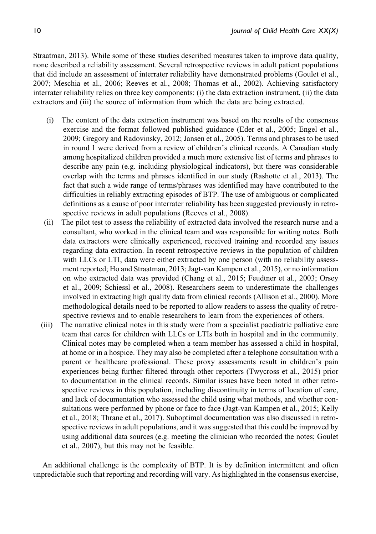Straatman, 2013). While some of these studies described measures taken to improve data quality, none described a reliability assessment. Several retrospective reviews in adult patient populations that did include an assessment of interrater reliability have demonstrated problems (Goulet et al., 2007; Meschia et al., 2006; Reeves et al., 2008; Thomas et al., 2002). Achieving satisfactory interrater reliability relies on three key components: (i) the data extraction instrument, (ii) the data extractors and (iii) the source of information from which the data are being extracted.

- (i) The content of the data extraction instrument was based on the results of the consensus exercise and the format followed published guidance (Eder et al., 2005; Engel et al., 2009; Gregory and Radovinsky, 2012; Jansen et al., 2005). Terms and phrases to be used in round 1 were derived from a review of children's clinical records. A Canadian study among hospitalized children provided a much more extensive list of terms and phrases to describe any pain (e.g. including physiological indicators), but there was considerable overlap with the terms and phrases identified in our study (Rashotte et al., 2013). The fact that such a wide range of terms/phrases was identified may have contributed to the difficulties in reliably extracting episodes of BTP. The use of ambiguous or complicated definitions as a cause of poor interrater reliability has been suggested previously in retrospective reviews in adult populations (Reeves et al., 2008).
- (ii) The pilot test to assess the reliability of extracted data involved the research nurse and a consultant, who worked in the clinical team and was responsible for writing notes. Both data extractors were clinically experienced, received training and recorded any issues regarding data extraction. In recent retrospective reviews in the population of children with LLCs or LTI, data were either extracted by one person (with no reliability assessment reported; Ho and Straatman, 2013; Jagt-van Kampen et al., 2015), or no information on who extracted data was provided (Chang et al., 2015; Feudtner et al., 2003; Orsey et al., 2009; Schiessl et al., 2008). Researchers seem to underestimate the challenges involved in extracting high quality data from clinical records (Allison et al., 2000). More methodological details need to be reported to allow readers to assess the quality of retrospective reviews and to enable researchers to learn from the experiences of others.
- (iii) The narrative clinical notes in this study were from a specialist paediatric palliative care team that cares for children with LLCs or LTIs both in hospital and in the community. Clinical notes may be completed when a team member has assessed a child in hospital, at home or in a hospice. They may also be completed after a telephone consultation with a parent or healthcare professional. These proxy assessments result in children's pain experiences being further filtered through other reporters (Twycross et al., 2015) prior to documentation in the clinical records. Similar issues have been noted in other retrospective reviews in this population, including discontinuity in terms of location of care, and lack of documentation who assessed the child using what methods, and whether consultations were performed by phone or face to face (Jagt-van Kampen et al., 2015; Kelly et al., 2018; Thrane et al., 2017). Suboptimal documentation was also discussed in retrospective reviews in adult populations, and it was suggested that this could be improved by using additional data sources (e.g. meeting the clinician who recorded the notes; Goulet et al., 2007), but this may not be feasible.

An additional challenge is the complexity of BTP. It is by definition intermittent and often unpredictable such that reporting and recording will vary. As highlighted in the consensus exercise,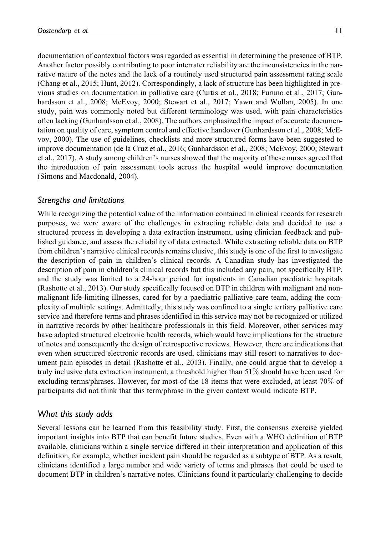documentation of contextual factors was regarded as essential in determining the presence of BTP. Another factor possibly contributing to poor interrater reliability are the inconsistencies in the narrative nature of the notes and the lack of a routinely used structured pain assessment rating scale (Chang et al., 2015; Hunt, 2012). Correspondingly, a lack of structure has been highlighted in previous studies on documentation in palliative care (Curtis et al., 2018; Furuno et al., 2017; Gunhardsson et al., 2008; McEvoy, 2000; Stewart et al., 2017; Yawn and Wollan, 2005). In one study, pain was commonly noted but different terminology was used, with pain characteristics often lacking (Gunhardsson et al., 2008). The authors emphasized the impact of accurate documentation on quality of care, symptom control and effective handover (Gunhardsson et al., 2008; McEvoy, 2000). The use of guidelines, checklists and more structured forms have been suggested to improve documentation (de la Cruz et al., 2016; Gunhardsson et al., 2008; McEvoy, 2000; Stewart et al., 2017). A study among children's nurses showed that the majority of these nurses agreed that the introduction of pain assessment tools across the hospital would improve documentation (Simons and Macdonald, 2004).

# Strengths and limitations

While recognizing the potential value of the information contained in clinical records for research purposes, we were aware of the challenges in extracting reliable data and decided to use a structured process in developing a data extraction instrument, using clinician feedback and published guidance, and assess the reliability of data extracted. While extracting reliable data on BTP from children's narrative clinical records remains elusive, this study is one of the first to investigate the description of pain in children's clinical records. A Canadian study has investigated the description of pain in children's clinical records but this included any pain, not specifically BTP, and the study was limited to a 24-hour period for inpatients in Canadian paediatric hospitals (Rashotte et al., 2013). Our study specifically focused on BTP in children with malignant and nonmalignant life-limiting illnesses, cared for by a paediatric palliative care team, adding the complexity of multiple settings. Admittedly, this study was confined to a single tertiary palliative care service and therefore terms and phrases identified in this service may not be recognized or utilized in narrative records by other healthcare professionals in this field. Moreover, other services may have adopted structured electronic health records, which would have implications for the structure of notes and consequently the design of retrospective reviews. However, there are indications that even when structured electronic records are used, clinicians may still resort to narratives to document pain episodes in detail (Rashotte et al., 2013). Finally, one could argue that to develop a truly inclusive data extraction instrument, a threshold higher than 51% should have been used for excluding terms/phrases. However, for most of the 18 items that were excluded, at least 70% of participants did not think that this term/phrase in the given context would indicate BTP.

# What this study adds

Several lessons can be learned from this feasibility study. First, the consensus exercise yielded important insights into BTP that can benefit future studies. Even with a WHO definition of BTP available, clinicians within a single service differed in their interpretation and application of this definition, for example, whether incident pain should be regarded as a subtype of BTP. As a result, clinicians identified a large number and wide variety of terms and phrases that could be used to document BTP in children's narrative notes. Clinicians found it particularly challenging to decide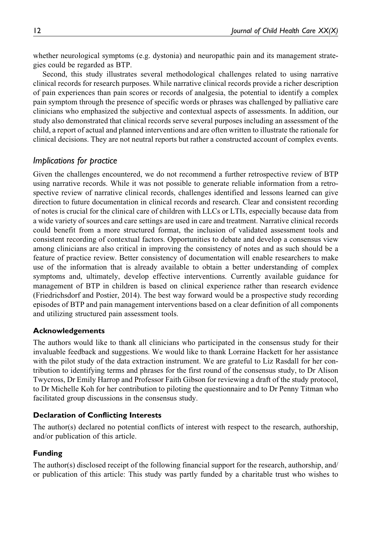whether neurological symptoms (e.g. dystonia) and neuropathic pain and its management strategies could be regarded as BTP.

Second, this study illustrates several methodological challenges related to using narrative clinical records for research purposes. While narrative clinical records provide a richer description of pain experiences than pain scores or records of analgesia, the potential to identify a complex pain symptom through the presence of specific words or phrases was challenged by palliative care clinicians who emphasized the subjective and contextual aspects of assessments. In addition, our study also demonstrated that clinical records serve several purposes including an assessment of the child, a report of actual and planned interventions and are often written to illustrate the rationale for clinical decisions. They are not neutral reports but rather a constructed account of complex events.

# Implications for practice

Given the challenges encountered, we do not recommend a further retrospective review of BTP using narrative records. While it was not possible to generate reliable information from a retrospective review of narrative clinical records, challenges identified and lessons learned can give direction to future documentation in clinical records and research. Clear and consistent recording of notes is crucial for the clinical care of children with LLCs or LTIs, especially because data from a wide variety of sources and care settings are used in care and treatment. Narrative clinical records could benefit from a more structured format, the inclusion of validated assessment tools and consistent recording of contextual factors. Opportunities to debate and develop a consensus view among clinicians are also critical in improving the consistency of notes and as such should be a feature of practice review. Better consistency of documentation will enable researchers to make use of the information that is already available to obtain a better understanding of complex symptoms and, ultimately, develop effective interventions. Currently available guidance for management of BTP in children is based on clinical experience rather than research evidence (Friedrichsdorf and Postier, 2014). The best way forward would be a prospective study recording episodes of BTP and pain management interventions based on a clear definition of all components and utilizing structured pain assessment tools.

### Acknowledgements

The authors would like to thank all clinicians who participated in the consensus study for their invaluable feedback and suggestions. We would like to thank Lorraine Hackett for her assistance with the pilot study of the data extraction instrument. We are grateful to Liz Rasdall for her contribution to identifying terms and phrases for the first round of the consensus study, to Dr Alison Twycross, Dr Emily Harrop and Professor Faith Gibson for reviewing a draft of the study protocol, to Dr Michelle Koh for her contribution to piloting the questionnaire and to Dr Penny Titman who facilitated group discussions in the consensus study.

### Declaration of Conflicting Interests

The author(s) declared no potential conflicts of interest with respect to the research, authorship, and/or publication of this article.

### Funding

The author(s) disclosed receipt of the following financial support for the research, authorship, and/ or publication of this article: This study was partly funded by a charitable trust who wishes to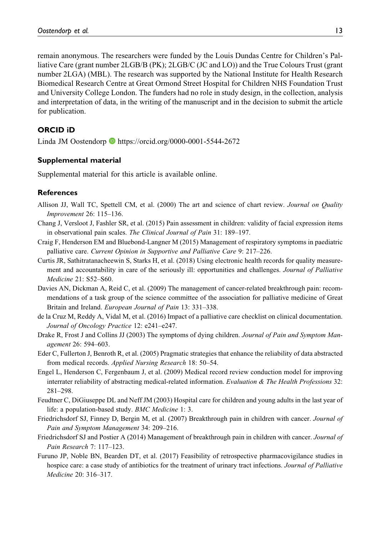remain anonymous. The researchers were funded by the Louis Dundas Centre for Children's Palliative Care (grant number 2LGB/B (PK); 2LGB/C (JC and LO)) and the True Colours Trust (grant number 2LGA) (MBL). The research was supported by the National Institute for Health Research Biomedical Research Centre at Great Ormond Street Hospital for Children NHS Foundation Trust and University College London. The funders had no role in study design, in the collection, analysis and interpretation of data, in the writing of the manuscript and in the decision to submit the article for publication.

## ORCID iD

Linda JM Oostendorp **b** <https://orcid.org/0000-0001-5544-2672>

### Supplemental material

Supplemental material for this article is available online.

### References

- Allison JJ, Wall TC, Spettell CM, et al. (2000) The art and science of chart review. Journal on Quality Improvement 26: 115–136.
- Chang J, Versloot J, Fashler SR, et al. (2015) Pain assessment in children: validity of facial expression items in observational pain scales. The Clinical Journal of Pain 31: 189–197.
- Craig F, Henderson EM and Bluebond-Langner M (2015) Management of respiratory symptoms in paediatric palliative care. Current Opinion in Supportive and Palliative Care 9: 217–226.
- Curtis JR, Sathitratanacheewin S, Starks H, et al. (2018) Using electronic health records for quality measurement and accountability in care of the seriously ill: opportunities and challenges. Journal of Palliative Medicine 21: S52–S60.
- Davies AN, Dickman A, Reid C, et al. (2009) The management of cancer-related breakthrough pain: recommendations of a task group of the science committee of the association for palliative medicine of Great Britain and Ireland. European Journal of Pain 13: 331–338.
- de la Cruz M, Reddy A, Vidal M, et al. (2016) Impact of a palliative care checklist on clinical documentation. Journal of Oncology Practice 12: e241–e247.
- Drake R, Frost J and Collins JJ (2003) The symptoms of dying children. Journal of Pain and Symptom Management 26: 594–603.
- Eder C, Fullerton J, Benroth R, et al. (2005) Pragmatic strategies that enhance the reliability of data abstracted from medical records. Applied Nursing Research 18: 50–54.
- Engel L, Henderson C, Fergenbaum J, et al. (2009) Medical record review conduction model for improving interrater reliability of abstracting medical-related information. Evaluation & The Health Professions 32: 281–298.
- Feudtner C, DiGiuseppe DL and Neff JM (2003) Hospital care for children and young adults in the last year of life: a population-based study. BMC Medicine 1: 3.
- Friedrichsdorf SJ, Finney D, Bergin M, et al. (2007) Breakthrough pain in children with cancer. Journal of Pain and Symptom Management 34: 209–216.
- Friedrichsdorf SJ and Postier A (2014) Management of breakthrough pain in children with cancer. Journal of Pain Research 7: 117–123.
- Furuno JP, Noble BN, Bearden DT, et al. (2017) Feasibility of retrospective pharmacovigilance studies in hospice care: a case study of antibiotics for the treatment of urinary tract infections. *Journal of Palliative* Medicine 20: 316–317.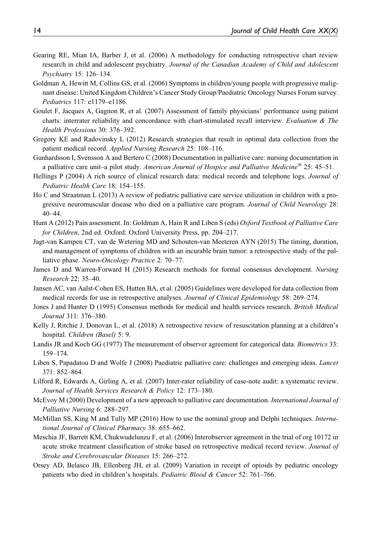- Gearing RE, Mian IA, Barber J, et al. (2006) A methodology for conducting retrospective chart review research in child and adolescent psychiatry. Journal of the Canadian Academy of Child and Adolescent Psychiatry 15: 126–134.
- Goldman A, Hewitt M, Collins GS, et al. (2006) Symptoms in children/young people with progressive malignant disease: United Kingdom Children's Cancer Study Group/Paediatric Oncology Nurses Forum survey. Pediatrics 117: e1179–e1186.
- Goulet F, Jacques A, Gagnon R, et al. (2007) Assessment of family physicians' performance using patient charts: interrater reliability and concordance with chart-stimulated recall interview. Evaluation & The Health Professions 30: 376–392.
- Gregory KE and Radovinsky L (2012) Research strategies that result in optimal data collection from the patient medical record. Applied Nursing Research 25: 108–116.
- Gunhardsson I, Svensson A and Bertero C (2008) Documentation in palliative care: nursing documentation in a palliative care unit–a pilot study. American Journal of Hospice and Palliative Medicine<sup>®</sup> 25: 45–51.
- Hellings P (2004) A rich source of clinical research data: medical records and telephone logs. Journal of Pediatric Health Care 18: 154–155.
- Ho C and Straatman L (2013) A review of pediatric palliative care service utilization in children with a progressive neuromuscular disease who died on a palliative care program. Journal of Child Neurology 28: 40–44.
- Hunt A (2012) Pain assessment. In: Goldman A, Hain R and Liben S (eds) Oxford Textbook of Palliative Care for Children, 2nd ed. Oxford: Oxford University Press, pp. 204–217.
- Jagt-van Kampen CT, van de Wetering MD and Schouten-van Meeteren AYN (2015) The timing, duration, and management of symptoms of children with an incurable brain tumor: a retrospective study of the palliative phase. Neuro-Oncology Practice 2: 70–77.
- James D and Warren-Forward H (2015) Research methods for formal consensus development. Nursing Research 22: 35–40.
- Jansen AC, van Aalst-Cohen ES, Hutten BA, et al. (2005) Guidelines were developed for data collection from medical records for use in retrospective analyses. Journal of Clinical Epidemiology 58: 269-274.
- Jones J and Hunter D (1995) Consensus methods for medical and health services research. British Medical Journal 311: 376–380.
- Kelly J, Ritchie J, Donovan L, et al. (2018) A retrospective review of resuscitation planning at a children's hospital. Children (Basel) 5: 9.
- Landis JR and Koch GG (1977) The measurement of observer agreement for categorical data. Biometrics 33: 159–174.
- Liben S, Papadatou D and Wolfe J (2008) Paediatric palliative care: challenges and emerging ideas. Lancet 371: 852–864.
- Lilford R, Edwards A, Girling A, et al. (2007) Inter-rater reliability of case-note audit: a systematic review. Journal of Health Services Research & Policy 12: 173–180.
- McEvoy M (2000) Development of a new approach to palliative care documentation. *International Journal of* Palliative Nursing 6: 288–297.
- McMillan SS, King M and Tully MP (2016) How to use the nominal group and Delphi techniques. *Interna*tional Journal of Clinical Pharmacy 38: 655–662.
- Meschia JF, Barrett KM, Chukwudelunzu F, et al. (2006) Interobserver agreement in the trial of org 10172 in acute stroke treatment classification of stroke based on retrospective medical record review. Journal of Stroke and Cerebrovascular Diseases 15: 266–272.
- Orsey AD, Belasco JB, Ellenberg JH, et al. (2009) Variation in receipt of opioids by pediatric oncology patients who died in children's hospitals. Pediatric Blood & Cancer 52: 761–766.